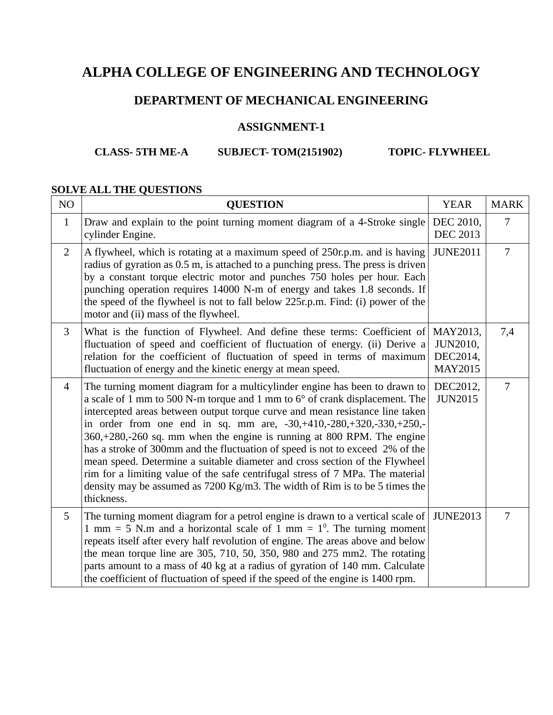## **DEPARTMENT OF MECHANICAL ENGINEERING**

### **ASSIGNMENT-1**

### **CLASS- 5TH ME-A SUBJECT- TOM(2151902) TOPIC- FLYWHEEL**

#### **SOLVE ALL THE QUESTIONS**

| NO             | <b>QUESTION</b>                                                                                                                                                                                                                                                                                                                                                                                                                                                                                                                                                                                                                                                                                                                           | <b>YEAR</b>                                               | <b>MARK</b> |
|----------------|-------------------------------------------------------------------------------------------------------------------------------------------------------------------------------------------------------------------------------------------------------------------------------------------------------------------------------------------------------------------------------------------------------------------------------------------------------------------------------------------------------------------------------------------------------------------------------------------------------------------------------------------------------------------------------------------------------------------------------------------|-----------------------------------------------------------|-------------|
| $\mathbf{1}$   | Draw and explain to the point turning moment diagram of a 4-Stroke single<br>cylinder Engine.                                                                                                                                                                                                                                                                                                                                                                                                                                                                                                                                                                                                                                             | DEC 2010,<br><b>DEC 2013</b>                              | 7           |
| 2              | A flywheel, which is rotating at a maximum speed of 250r.p.m. and is having<br>radius of gyration as 0.5 m, is attached to a punching press. The press is driven<br>by a constant torque electric motor and punches 750 holes per hour. Each<br>punching operation requires 14000 N-m of energy and takes 1.8 seconds. If<br>the speed of the flywheel is not to fall below 225r.p.m. Find: (i) power of the<br>motor and (ii) mass of the flywheel.                                                                                                                                                                                                                                                                                      | <b>JUNE2011</b>                                           | 7           |
| 3              | What is the function of Flywheel. And define these terms: Coefficient of<br>fluctuation of speed and coefficient of fluctuation of energy. (ii) Derive a<br>relation for the coefficient of fluctuation of speed in terms of maximum<br>fluctuation of energy and the kinetic energy at mean speed.                                                                                                                                                                                                                                                                                                                                                                                                                                       | MAY2013,<br><b>JUN2010,</b><br>DEC2014,<br><b>MAY2015</b> | 7,4         |
| $\overline{4}$ | The turning moment diagram for a multicylinder engine has been to drawn to<br>a scale of 1 mm to 500 N-m torque and 1 mm to 6° of crank displacement. The<br>intercepted areas between output torque curve and mean resistance line taken<br>in order from one end in sq. mm are, -30,+410,-280,+320,-330,+250,-<br>360,+280,-260 sq. mm when the engine is running at 800 RPM. The engine<br>has a stroke of 300mm and the fluctuation of speed is not to exceed 2% of the<br>mean speed. Determine a suitable diameter and cross section of the Flywheel<br>rim for a limiting value of the safe centrifugal stress of 7 MPa. The material<br>density may be assumed as 7200 Kg/m3. The width of Rim is to be 5 times the<br>thickness. | DEC2012,<br><b>JUN2015</b>                                | 7           |
| 5              | The turning moment diagram for a petrol engine is drawn to a vertical scale of<br>1 mm = 5 N.m and a horizontal scale of 1 mm = $1^0$ . The turning moment<br>repeats itself after every half revolution of engine. The areas above and below<br>the mean torque line are 305, 710, 50, 350, 980 and 275 mm2. The rotating<br>parts amount to a mass of 40 kg at a radius of gyration of 140 mm. Calculate<br>the coefficient of fluctuation of speed if the speed of the engine is 1400 rpm.                                                                                                                                                                                                                                             | <b>JUNE2013</b>                                           | 7           |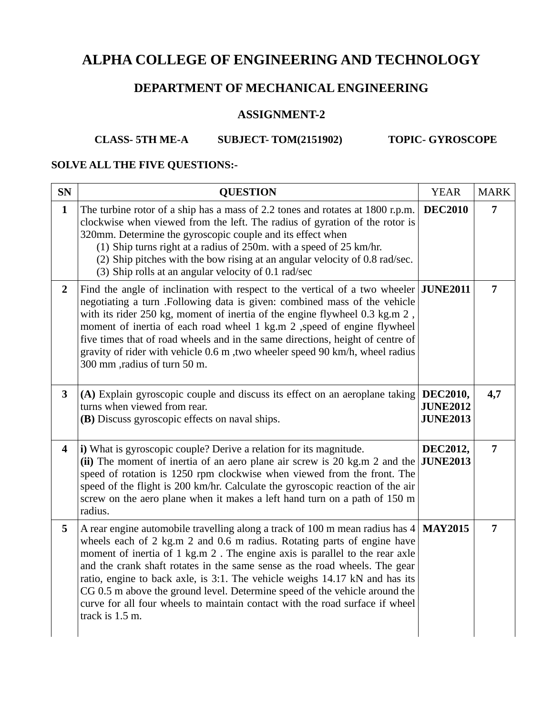## **DEPARTMENT OF MECHANICAL ENGINEERING**

## **ASSIGNMENT-2**

## **CLASS- 5TH ME-A SUBJECT- TOM(2151902) TOPIC- GYROSCOPE**

# **SOLVE ALL THE FIVE QUESTIONS:-**

| <b>SN</b>               | <b>QUESTION</b>                                                                                                                                                                                                                                                                                                                                                                                                                                                                                                                                                                      | <b>YEAR</b>                                    | <b>MARK</b>    |
|-------------------------|--------------------------------------------------------------------------------------------------------------------------------------------------------------------------------------------------------------------------------------------------------------------------------------------------------------------------------------------------------------------------------------------------------------------------------------------------------------------------------------------------------------------------------------------------------------------------------------|------------------------------------------------|----------------|
| $\mathbf{1}$            | The turbine rotor of a ship has a mass of 2.2 tones and rotates at 1800 r.p.m.<br>clockwise when viewed from the left. The radius of gyration of the rotor is<br>320mm. Determine the gyroscopic couple and its effect when<br>(1) Ship turns right at a radius of 250m. with a speed of 25 km/hr.<br>(2) Ship pitches with the bow rising at an angular velocity of 0.8 rad/sec.<br>(3) Ship rolls at an angular velocity of 0.1 rad/sec                                                                                                                                            | <b>DEC2010</b>                                 | 7              |
| $\overline{2}$          | Find the angle of inclination with respect to the vertical of a two wheeler<br>negotiating a turn .Following data is given: combined mass of the vehicle<br>with its rider 250 kg, moment of inertia of the engine flywheel 0.3 kg.m 2,<br>moment of inertia of each road wheel 1 kg.m 2 , speed of engine flywheel<br>five times that of road wheels and in the same directions, height of centre of<br>gravity of rider with vehicle 0.6 m , two wheeler speed 90 km/h, wheel radius<br>300 mm ,radius of turn 50 m.                                                               | <b>JUNE2011</b>                                | 7              |
| $\overline{\mathbf{3}}$ | (A) Explain gyroscopic couple and discuss its effect on an aeroplane taking<br>turns when viewed from rear.<br>(B) Discuss gyroscopic effects on naval ships.                                                                                                                                                                                                                                                                                                                                                                                                                        | DEC2010,<br><b>JUNE2012</b><br><b>JUNE2013</b> | 4,7            |
| $\overline{\mathbf{4}}$ | i) What is gyroscopic couple? Derive a relation for its magnitude.<br>(ii) The moment of inertia of an aero plane air screw is 20 kg.m 2 and the<br>speed of rotation is 1250 rpm clockwise when viewed from the front. The<br>speed of the flight is 200 km/hr. Calculate the gyroscopic reaction of the air<br>screw on the aero plane when it makes a left hand turn on a path of 150 m<br>radius.                                                                                                                                                                                | DEC2012,<br><b>JUNE2013</b>                    | $\overline{7}$ |
| 5                       | A rear engine automobile travelling along a track of 100 m mean radius has 4<br>wheels each of 2 kg.m 2 and 0.6 m radius. Rotating parts of engine have<br>moment of inertia of 1 kg.m 2. The engine axis is parallel to the rear axle<br>and the crank shaft rotates in the same sense as the road wheels. The gear<br>ratio, engine to back axle, is 3:1. The vehicle weighs 14.17 kN and has its<br>CG 0.5 m above the ground level. Determine speed of the vehicle around the<br>curve for all four wheels to maintain contact with the road surface if wheel<br>track is 1.5 m. | <b>MAY2015</b>                                 | 7              |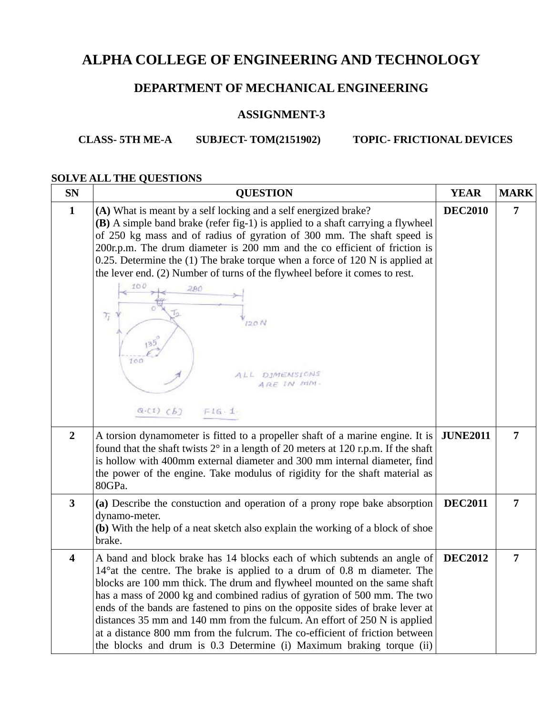## **DEPARTMENT OF MECHANICAL ENGINEERING**

#### **ASSIGNMENT-3**

# **CLASS- 5TH ME-A SUBJECT- TOM(2151902) TOPIC- FRICTIONAL DEVICES**

#### **SOLVE ALL THE QUESTIONS**

| <b>SN</b>               | <b>QUESTION</b>                                                                                                                                                                                                                                                                                                                                                                                                                                                                                                                                                                                                                   | <b>YEAR</b>     | <b>MARK</b>    |
|-------------------------|-----------------------------------------------------------------------------------------------------------------------------------------------------------------------------------------------------------------------------------------------------------------------------------------------------------------------------------------------------------------------------------------------------------------------------------------------------------------------------------------------------------------------------------------------------------------------------------------------------------------------------------|-----------------|----------------|
| $\mathbf{1}$            | (A) What is meant by a self locking and a self energized brake?<br>(B) A simple band brake (refer fig-1) is applied to a shaft carrying a flywheel<br>of 250 kg mass and of radius of gyration of 300 mm. The shaft speed is<br>200r.p.m. The drum diameter is 200 mm and the co efficient of friction is<br>0.25. Determine the $(1)$ The brake torque when a force of 120 N is applied at<br>the lever end. (2) Number of turns of the flywheel before it comes to rest.<br>100<br>280<br>$\tau_{\rm r}$<br>120N<br>100<br>ALL DIMENSIONS<br>ARE IN MIN.<br>$Q-C1) (B)$<br>FIG.1                                                | <b>DEC2010</b>  | 7              |
| $\overline{2}$          | A torsion dynamometer is fitted to a propeller shaft of a marine engine. It is<br>found that the shaft twists 2° in a length of 20 meters at 120 r.p.m. If the shaft<br>is hollow with 400mm external diameter and 300 mm internal diameter, find<br>the power of the engine. Take modulus of rigidity for the shaft material as<br>80GPa.                                                                                                                                                                                                                                                                                        | <b>JUNE2011</b> | $\overline{7}$ |
| $\overline{\mathbf{3}}$ | (a) Describe the constuction and operation of a prony rope bake absorption<br>dynamo-meter.<br>(b) With the help of a neat sketch also explain the working of a block of shoe<br>brake.                                                                                                                                                                                                                                                                                                                                                                                                                                           | <b>DEC2011</b>  | $\overline{7}$ |
| $\overline{\mathbf{4}}$ | A band and block brake has 14 blocks each of which subtends an angle of<br>14° at the centre. The brake is applied to a drum of 0.8 m diameter. The<br>blocks are 100 mm thick. The drum and flywheel mounted on the same shaft<br>has a mass of 2000 kg and combined radius of gyration of 500 mm. The two<br>ends of the bands are fastened to pins on the opposite sides of brake lever at<br>distances 35 mm and 140 mm from the fulcum. An effort of 250 N is applied<br>at a distance 800 mm from the fulcrum. The co-efficient of friction between<br>the blocks and drum is 0.3 Determine (i) Maximum braking torque (ii) | <b>DEC2012</b>  | 7              |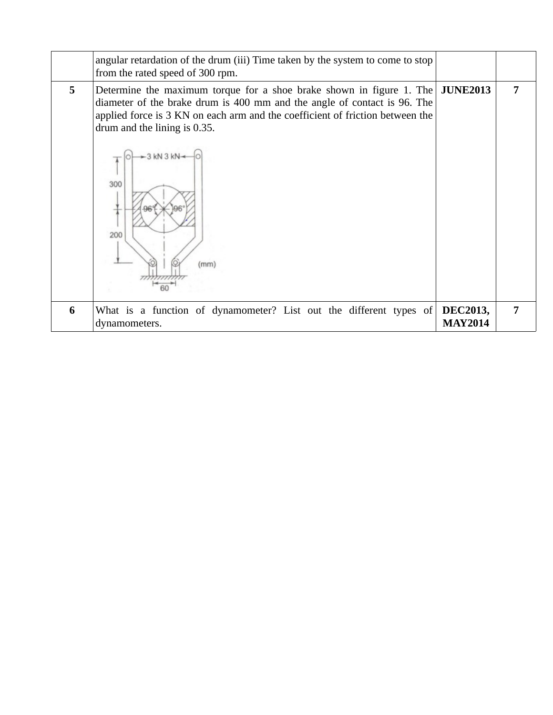|             | angular retardation of the drum (iii) Time taken by the system to come to stop<br>from the rated speed of 300 rpm.                                                                                                                                                                                                     |                                   |   |
|-------------|------------------------------------------------------------------------------------------------------------------------------------------------------------------------------------------------------------------------------------------------------------------------------------------------------------------------|-----------------------------------|---|
| $5^{\circ}$ | Determine the maximum torque for a shoe brake shown in figure 1. The<br>diameter of the brake drum is 400 mm and the angle of contact is 96. The<br>applied force is 3 KN on each arm and the coefficient of friction between the<br>drum and the lining is 0.35.<br>$3$ kN $3$ kN $\rightarrow$<br>300<br>200<br>(mm) | <b>JUNE2013</b>                   | 7 |
| 6           | What is a function of dynamometer? List out the different types of<br>dynamometers.                                                                                                                                                                                                                                    | <b>DEC2013,</b><br><b>MAY2014</b> | 7 |